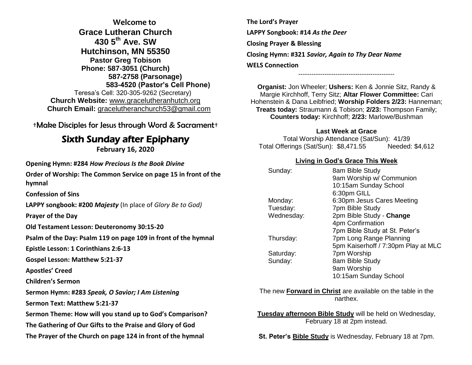**Welcome to Grace Lutheran Church 430 5th Ave. SW Hutchinson, MN 55350 Pastor Greg Tobison Phone: 587-3051 (Church) 587-2758 (Parsonage) 583-4520 (Pastor's Cell Phone)** Teresa's Cell: 320-305-9262 (Secretary) **Church Website:** [www.gracelutheranhutch.org](http://www.gracelutheranhutch.org/) **Church Email:** [gracelutheranchurch53@gmail.com](mailto:gracelutheranchurch53@gmail.com)

†Make Disciples for Jesus through Word & Sacrament†

# Sixth Sunday after Epiphany

**February 16, 2020**

**Opening Hymn: #284** *How Precious Is the Book Divine*

**Order of Worship: The Common Service on page 15 in front of the hymnal**

**Confession of Sins** 

**LAPPY songbook: #200** *Majesty* (In place of *Glory Be to God)*

**Prayer of the Day**

**Old Testament Lesson: Deuteronomy 30:15-20**

**Psalm of the Day: Psalm 119 on page 109 in front of the hymnal** 

**Epistle Lesson: 1 Corinthians 2:6-13**

**Gospel Lesson: Matthew 5:21-37**

**Apostles' Creed**

**Children's Sermon**

**Sermon Hymn: #283** *Speak, O Savior; I Am Listening*

**Sermon Text: Matthew 5:21-37**

**Sermon Theme: How will you stand up to God's Comparison?**

**The Gathering of Our Gifts to the Praise and Glory of God**

**The Prayer of the Church on page 124 in front of the hymnal**

**The Lord's Prayer LAPPY Songbook: #14** *As the Deer* **Closing Prayer & Blessing Closing Hymn: #321** *Savior, Again to Thy Dear Name* **WELS Connection**

**Organist:** Jon Wheeler; **Ushers:** Ken & Jonnie Sitz, Randy & Margie Kirchhoff, Terry Sitz; **Altar Flower Committee:** Cari Hohenstein & Dana Leibfried; **Worship Folders 2/23:** Hanneman; **Treats today:** Straumann & Tobison; **2/23:** Thompson Family; **Counters today:** Kirchhoff; **2/23:** Marlowe/Bushman

--------------------------------------------

#### **Last Week at Grace**

Total Worship Attendance (Sat/Sun): 41/39 Total Offerings (Sat/Sun): \$8,471.55 Needed: \$4,612

### **Living in God's Grace This Week**

| Sunday:    | 8am Bible Study                     |
|------------|-------------------------------------|
|            | 9am Worship w/ Communion            |
|            | 10:15am Sunday School               |
|            | 6:30pm GILL                         |
| Monday:    | 6:30pm Jesus Cares Meeting          |
| Tuesday:   | 7pm Bible Study                     |
| Wednesday: | 2pm Bible Study - Change            |
|            | 4pm Confirmation                    |
|            | 7pm Bible Study at St. Peter's      |
| Thursday:  | 7pm Long Range Planning             |
|            | 5pm Kaiserhoff / 7:30pm Play at MLC |
| Saturday:  | 7pm Worship                         |
| Sunday:    | 8am Bible Study                     |
|            | 9am Worship                         |
|            | 10:15am Sunday School               |
|            |                                     |

The new **Forward in Christ** are available on the table in the narthex.

**Tuesday afternoon Bible Study** will be held on Wednesday, February 18 at 2pm instead.

**St. Peter's Bible Study** is Wednesday, February 18 at 7pm.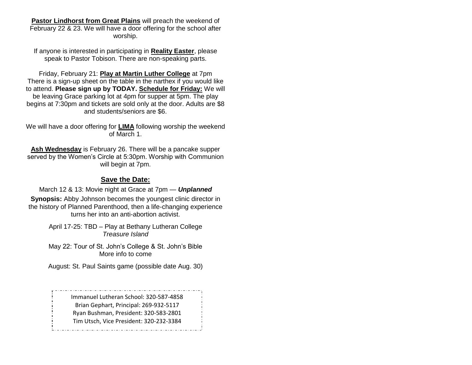**Pastor Lindhorst from Great Plains** will preach the weekend of February 22 & 23. We will have a door offering for the school after worship.

If anyone is interested in participating in **Reality Easter**, please speak to Pastor Tobison. There are non-speaking parts.

Friday, February 21: **Play at Martin Luther College** at 7pm There is a sign-up sheet on the table in the narthex if you would like to attend. **Please sign up by TODAY. Schedule for Friday:** We will be leaving Grace parking lot at 4pm for supper at 5pm. The play begins at 7:30pm and tickets are sold only at the door. Adults are \$8 and students/seniors are \$6.

We will have a door offering for **LIMA** following worship the weekend of March 1.

**Ash Wednesday** is February 26. There will be a pancake supper served by the Women's Circle at 5:30pm. Worship with Communion will begin at 7pm.

### **Save the Date:**

March 12 & 13: Movie night at Grace at 7pm — *Unplanned* **Synopsis:** Abby Johnson becomes the youngest clinic director in the history of Planned Parenthood, then a life-changing experience turns her into an anti-abortion activist.

> April 17-25: TBD – Play at Bethany Lutheran College *Treasure Island*

> May 22: Tour of St. John's College & St. John's Bible More info to come

> August: St. Paul Saints game (possible date Aug. 30)

Immanuel Lutheran School: 320-587-4858 Brian Gephart, Principal: 269-932-5117 Ryan Bushman, President: 320-583-2801 Tim Utsch, Vice President: 320-232-3384